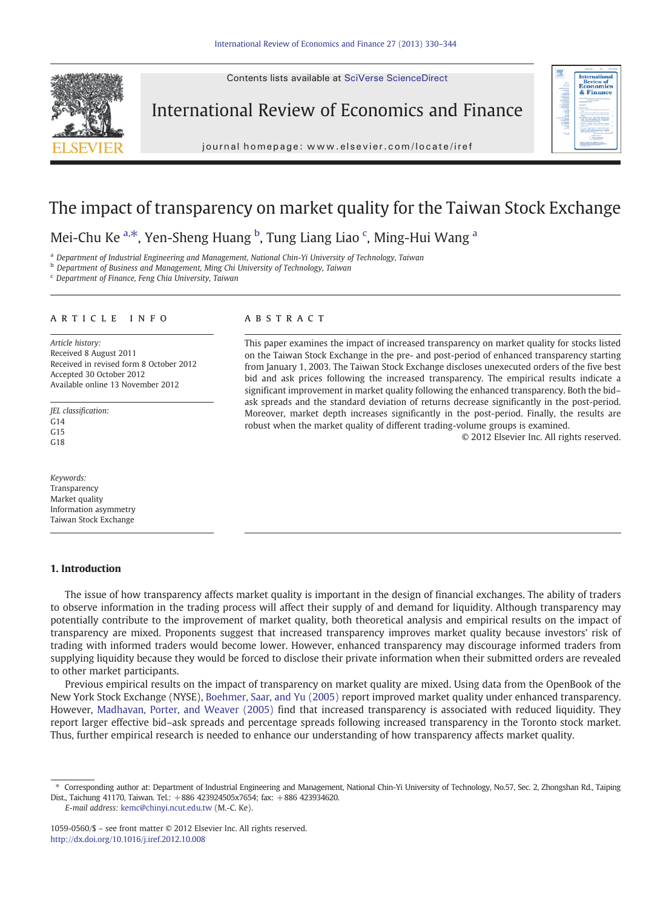Contents lists available at SciVerse ScienceDirect



International Review of Economics and Finance

iournal homepage: www.elsevier.com/locate/iref journal homepage: www.elsevier.com/locate/iref



## The impact of transparency on market quality for the Taiwan Stock Exchange

### Mei-Chu Ke <sup>a,\*</sup>, Yen-Sheng Huang <sup>b</sup>, Tung Liang Liao <sup>c</sup>, Ming-Hui Wang <sup>a</sup>

<sup>a</sup> Department of Industrial Engineering and Management, National Chin-Yi University of Technology, Taiwan

**b** Department of Business and Management, Ming Chi University of Technology, Taiwan

<sup>c</sup> Department of Finance, Feng Chia University, Taiwan

### article info abstract

Article history: Received 8 August 2011 Received in revised form 8 October 2012 Accepted 30 October 2012 Available online 13 November 2012

JEL classification:  $C<sub>14</sub>$  $G15$ G18

Keywords: Transparency Market quality Information asymmetry Taiwan Stock Exchange

#### 1. Introduction

This paper examines the impact of increased transparency on market quality for stocks listed on the Taiwan Stock Exchange in the pre- and post-period of enhanced transparency starting from January 1, 2003. The Taiwan Stock Exchange discloses unexecuted orders of the five best bid and ask prices following the increased transparency. The empirical results indicate a significant improvement in market quality following the enhanced transparency. Both the bid– ask spreads and the standard deviation of returns decrease significantly in the post-period. Moreover, market depth increases significantly in the post-period. Finally, the results are robust when the market quality of different trading-volume groups is examined.

© 2012 Elsevier Inc. All rights reserved.

The issue of how transparency affects market quality is important in the design of financial exchanges. The ability of traders to observe information in the trading process will affect their supply of and demand for liquidity. Although transparency may potentially contribute to the improvement of market quality, both theoretical analysis and empirical results on the impact of transparency are mixed. Proponents suggest that increased transparency improves market quality because investors' risk of trading with informed traders would become lower. However, enhanced transparency may discourage informed traders from supplying liquidity because they would be forced to disclose their private information when their submitted orders are revealed to other market participants.

Previous empirical results on the impact of transparency on market quality are mixed. Using data from the OpenBook of the New York Stock Exchange (NYSE), [Boehmer, Saar, and Yu \(2005\)](#page--1-0) report improved market quality under enhanced transparency. However, [Madhavan, Porter, and Weaver \(2005\)](#page--1-0) find that increased transparency is associated with reduced liquidity. They report larger effective bid–ask spreads and percentage spreads following increased transparency in the Toronto stock market. Thus, further empirical research is needed to enhance our understanding of how transparency affects market quality.

E-mail address: [kemc@chinyi.ncut.edu.tw](mailto:kemc@chinyi.ncut.edu.tw) (M.-C. Ke).

<sup>⁎</sup> Corresponding author at: Department of Industrial Engineering and Management, National Chin-Yi University of Technology, No.57, Sec. 2, Zhongshan Rd., Taiping Dist., Taichung 41170, Taiwan. Tel.: +886 423924505x7654; fax: +886 423934620.

<sup>1059-0560/\$</sup> – see front matter © 2012 Elsevier Inc. All rights reserved. <http://dx.doi.org/10.1016/j.iref.2012.10.008>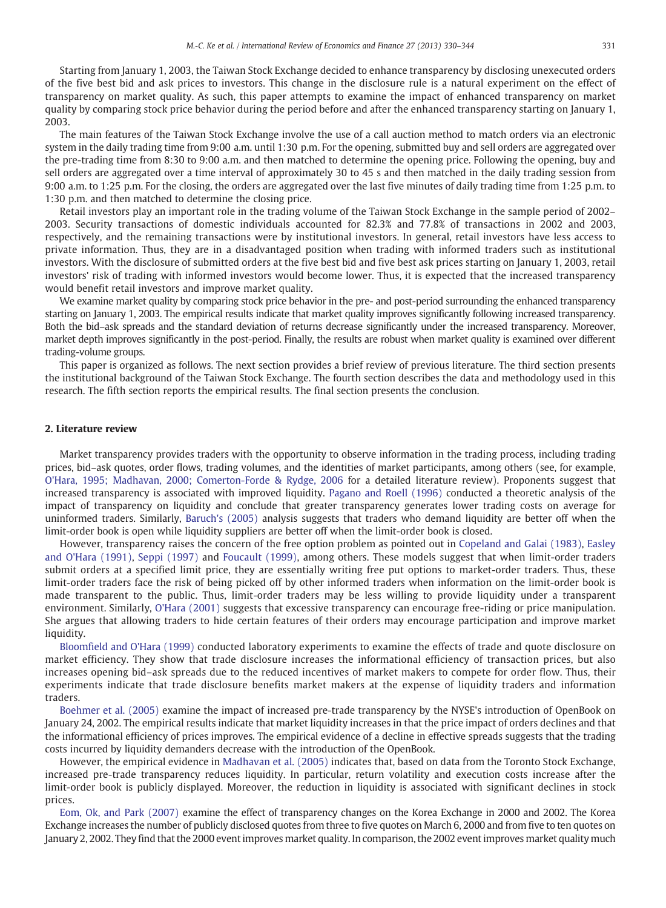Starting from January 1, 2003, the Taiwan Stock Exchange decided to enhance transparency by disclosing unexecuted orders of the five best bid and ask prices to investors. This change in the disclosure rule is a natural experiment on the effect of transparency on market quality. As such, this paper attempts to examine the impact of enhanced transparency on market quality by comparing stock price behavior during the period before and after the enhanced transparency starting on January 1, 2003.

The main features of the Taiwan Stock Exchange involve the use of a call auction method to match orders via an electronic system in the daily trading time from 9:00 a.m. until 1:30 p.m. For the opening, submitted buy and sell orders are aggregated over the pre-trading time from 8:30 to 9:00 a.m. and then matched to determine the opening price. Following the opening, buy and sell orders are aggregated over a time interval of approximately 30 to 45 s and then matched in the daily trading session from 9:00 a.m. to 1:25 p.m. For the closing, the orders are aggregated over the last five minutes of daily trading time from 1:25 p.m. to 1:30 p.m. and then matched to determine the closing price.

Retail investors play an important role in the trading volume of the Taiwan Stock Exchange in the sample period of 2002– 2003. Security transactions of domestic individuals accounted for 82.3% and 77.8% of transactions in 2002 and 2003, respectively, and the remaining transactions were by institutional investors. In general, retail investors have less access to private information. Thus, they are in a disadvantaged position when trading with informed traders such as institutional investors. With the disclosure of submitted orders at the five best bid and five best ask prices starting on January 1, 2003, retail investors' risk of trading with informed investors would become lower. Thus, it is expected that the increased transparency would benefit retail investors and improve market quality.

We examine market quality by comparing stock price behavior in the pre- and post-period surrounding the enhanced transparency starting on January 1, 2003. The empirical results indicate that market quality improves significantly following increased transparency. Both the bid–ask spreads and the standard deviation of returns decrease significantly under the increased transparency. Moreover, market depth improves significantly in the post-period. Finally, the results are robust when market quality is examined over different trading-volume groups.

This paper is organized as follows. The next section provides a brief review of previous literature. The third section presents the institutional background of the Taiwan Stock Exchange. The fourth section describes the data and methodology used in this research. The fifth section reports the empirical results. The final section presents the conclusion.

#### 2. Literature review

Market transparency provides traders with the opportunity to observe information in the trading process, including trading prices, bid–ask quotes, order flows, trading volumes, and the identities of market participants, among others (see, for example, [O'Hara, 1995; Madhavan, 2000; Comerton-Forde & Rydge, 2006](#page--1-0) for a detailed literature review). Proponents suggest that increased transparency is associated with improved liquidity. [Pagano and Roell \(1996\)](#page--1-0) conducted a theoretic analysis of the impact of transparency on liquidity and conclude that greater transparency generates lower trading costs on average for uninformed traders. Similarly, [Baruch's \(2005\)](#page--1-0) analysis suggests that traders who demand liquidity are better off when the limit-order book is open while liquidity suppliers are better off when the limit-order book is closed.

However, transparency raises the concern of the free option problem as pointed out in [Copeland and Galai \(1983\),](#page--1-0) [Easley](#page--1-0) [and O'Hara \(1991\),](#page--1-0) [Seppi \(1997\)](#page--1-0) and [Foucault \(1999\),](#page--1-0) among others. These models suggest that when limit-order traders submit orders at a specified limit price, they are essentially writing free put options to market-order traders. Thus, these limit-order traders face the risk of being picked off by other informed traders when information on the limit-order book is made transparent to the public. Thus, limit-order traders may be less willing to provide liquidity under a transparent environment. Similarly, [O'Hara \(2001\)](#page--1-0) suggests that excessive transparency can encourage free-riding or price manipulation. She argues that allowing traders to hide certain features of their orders may encourage participation and improve market liquidity.

[Bloomfield and O'Hara \(1999\)](#page--1-0) conducted laboratory experiments to examine the effects of trade and quote disclosure on market efficiency. They show that trade disclosure increases the informational efficiency of transaction prices, but also increases opening bid–ask spreads due to the reduced incentives of market makers to compete for order flow. Thus, their experiments indicate that trade disclosure benefits market makers at the expense of liquidity traders and information traders.

[Boehmer et al. \(2005\)](#page--1-0) examine the impact of increased pre-trade transparency by the NYSE's introduction of OpenBook on January 24, 2002. The empirical results indicate that market liquidity increases in that the price impact of orders declines and that the informational efficiency of prices improves. The empirical evidence of a decline in effective spreads suggests that the trading costs incurred by liquidity demanders decrease with the introduction of the OpenBook.

However, the empirical evidence in [Madhavan et al. \(2005\)](#page--1-0) indicates that, based on data from the Toronto Stock Exchange, increased pre-trade transparency reduces liquidity. In particular, return volatility and execution costs increase after the limit-order book is publicly displayed. Moreover, the reduction in liquidity is associated with significant declines in stock prices.

[Eom, Ok, and Park \(2007\)](#page--1-0) examine the effect of transparency changes on the Korea Exchange in 2000 and 2002. The Korea Exchange increases the number of publicly disclosed quotes from three to five quotes on March 6, 2000 and from five to ten quotes on January 2, 2002. They find that the 2000 event improves market quality. In comparison, the 2002 event improves market quality much